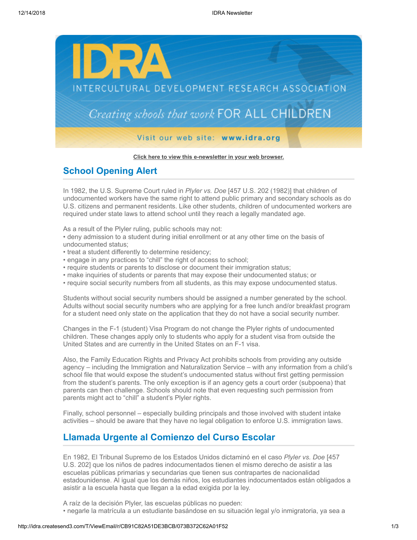

## **[Click here to view this e-newsletter in your web browser.](http://idra.createsend1.com/t/r/e/qlhkhl/uyyhirl/)**

## **School Opening Alert**

In 1982, the U.S. Supreme Court ruled in *Plyler vs. Doe* [457 U.S. 202 (1982)] that children of undocumented workers have the same right to attend public primary and secondary schools as do U.S. citizens and permanent residents. Like other students, children of undocumented workers are required under state laws to attend school until they reach a legally mandated age.

As a result of the Plyler ruling, public schools may not:

• deny admission to a student during initial enrollment or at any other time on the basis of undocumented status;

- treat a student differently to determine residency;
- engage in any practices to "chill" the right of access to school;
- require students or parents to disclose or document their immigration status;
- make inquiries of students or parents that may expose their undocumented status; or
- require social security numbers from all students, as this may expose undocumented status.

Students without social security numbers should be assigned a number generated by the school. Adults without social security numbers who are applying for a free lunch and/or breakfast program for a student need only state on the application that they do not have a social security number.

Changes in the F-1 (student) Visa Program do not change the Plyler rights of undocumented children. These changes apply only to students who apply for a student visa from outside the United States and are currently in the United States on an F-1 visa.

Also, the Family Education Rights and Privacy Act prohibits schools from providing any outside agency – including the Immigration and Naturalization Service – with any information from a child's school file that would expose the student's undocumented status without first getting permission from the student's parents. The only exception is if an agency gets a court order (subpoena) that parents can then challenge. Schools should note that even requesting such permission from parents might act to "chill" a student's Plyler rights.

Finally, school personnel – especially building principals and those involved with student intake activities – should be aware that they have no legal obligation to enforce U.S. immigration laws.

## **Llamada Urgente al Comienzo del Curso Escolar**

En 1982, El Tribunal Supremo de los Estados Unidos dictaminó en el caso *Plyler vs. Doe* [457 U.S. 202] que los niños de padres indocumentados tienen el mismo derecho de asistir a las escuelas públicas primarias y secundarias que tienen sus contrapartes de nacionalidad estadounidense. Al igual que los demás niños, los estudiantes indocumentados están obligados a asistir a la escuela hasta que llegan a la edad exigida por la ley.

A raíz de la decisión Plyler, las escuelas públicas no pueden: • negarle la matrícula a un estudiante basándose en su situación legal y/o inmigratoria, ya sea a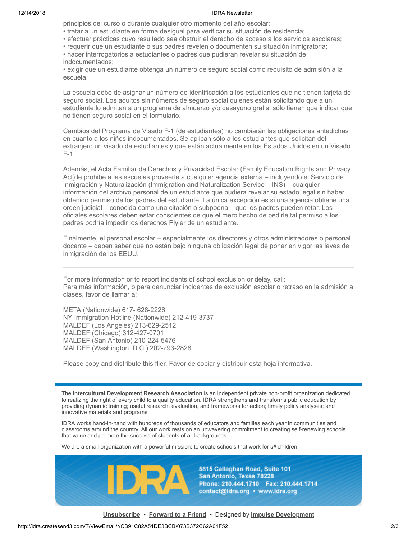## 12/14/2018 IDRA Newsletter

principios del curso o durante cualquier otro momento del año escolar;

- tratar a un estudiante en forma desigual para verificar su situación de residencia;
- efectuar prácticas cuyo resultado sea obstruir el derecho de acceso a los servicios escolares;
- requerir que un estudiante o sus padres revelen o documenten su situación inmigratoria;
- hacer interrogatorios a estudiantes o padres que pudieran revelar su situación de indocumentados;

• exigir que un estudiante obtenga un número de seguro social como requisito de admisión a la escuela.

La escuela debe de asignar un número de identificación a los estudiantes que no tienen tarjeta de seguro social. Los adultos sin números de seguro social quienes están solicitando que a un estudiante lo admitan a un programa de almuerzo y/o desayuno gratis, sólo tienen que indicar que no tienen seguro social en el formulario.

Cambios del Programa de Visado F-1 (de estudiantes) no cambiarán las obligaciones antedichas en cuanto a los niños indocumentados. Se aplican sólo a los estudiantes que solicitan del extranjero un visado de estudiantes y que están actualmente en los Estados Unidos en un Visado F-1.

Además, el Acta Familiar de Derechos y Privacidad Escolar (Family Education Rights and Privacy Act) le prohibe a las escuelas proveerle a cualquier agencia externa – incluyendo el Servicio de Inmigración y Naturalización (Immigration and Naturalization Service – INS) – cualquier información del archivo personal de un estudiante que pudiera revelar su estado legal sin haber obtenido permiso de los padres del estudiante. La única excepción es si una agencia obtiene una orden judicial – conocida como una citación o subpoena – que los padres pueden retar. Los oficiales escolares deben estar conscientes de que el mero hecho de pedirle tal permiso a los padres podría impedir los derechos Plyler de un estudiante.

Finalmente, el personal escolar – especialmente los directores y otros administradores o personal docente – deben saber que no están bajo ninguna obligación legal de poner en vigor las leyes de inmigración de los EEUU.

For more information or to report incidents of school exclusion or delay, call: Para más información, o para denunciar incidentes de exclusión escolar o retraso en la admisión a clases, favor de llamar a:

META (Nationwide) 617- 628-2226 NY Immigration Hotline (Nationwide) 212-419-3737 MALDEF (Los Angeles) 213-629-2512 MALDEF (Chicago) 312-427-0701 MALDEF (San Antonio) 210-224-5476 MALDEF (Washington, D.C.) 202-293-2828

Please copy and distribute this flier. Favor de copiar y distribuir esta hoja informativa.

The **Intercultural Development Research Association** is an independent private non-profit organization dedicated to realizing the right of every child to a quality education. IDRA strengthens and transforms public education by providing dynamic training; useful research, evaluation, and frameworks for action; timely policy analyses; and innovative materials and programs.

IDRA works hand-in-hand with hundreds of thousands of educators and families each year in communities and classrooms around the country. All our work rests on an unwavering commitment to creating self-renewing schools that value and promote the success of students of all backgrounds.

We are a small organization with a powerful mission: to create schools that work for *all* children.



5815 Callaghan Road, Suite 101 San Antonio, Texas 78228 Phone: 210.444.1710 Fax: 210.444.1714 contact@idra.org • www.idra.org

**[Unsubscribe](http://idra.createsend1.com/t/r/u/qlhkhl/uyyhirl/)** • **[Forward to a Friend](http://idra.forwardtomyfriend.com/r/uyyhirl-8659CEE7-qlhkhl-l)** • Designed by **[Impulse Development](http://idra.createsend1.com/t/r/l/qlhkhl/uyyhirl/j)**